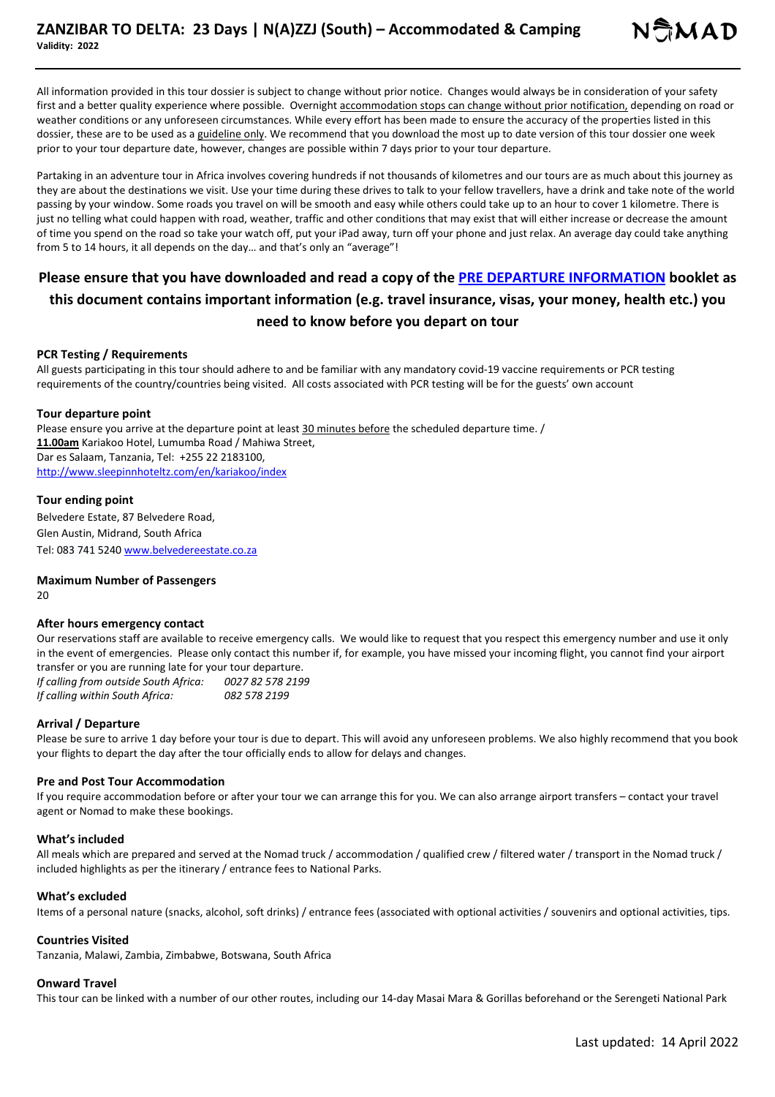All information provided in this tour dossier is subject to change without prior notice. Changes would always be in consideration of your safety first and a better quality experience where possible. Overnight accommodation stops can change without prior notification, depending on road or weather conditions or any unforeseen circumstances. While every effort has been made to ensure the accuracy of the properties listed in this dossier, these are to be used as a guideline only. We recommend that you download the most up to date version of this tour dossier one week prior to your tour departure date, however, changes are possible within 7 days prior to your tour departure.

Partaking in an adventure tour in Africa involves covering hundreds if not thousands of kilometres and our tours are as much about this journey as they are about the destinations we visit. Use your time during these drives to talk to your fellow travellers, have a drink and take note of the world passing by your window. Some roads you travel on will be smooth and easy while others could take up to an hour to cover 1 kilometre. There is just no telling what could happen with road, weather, traffic and other conditions that may exist that will either increase or decrease the amount of time you spend on the road so take your watch off, put your iPad away, turn off your phone and just relax. An average day could take anything from 5 to 14 hours, it all depends on the day… and that's only an "average"!

# **Please ensure that you have downloaded and read a copy of the PRE DEPARTURE INFORMATION booklet as this document contains important information (e.g. travel insurance, visas, your money, health etc.) you need to know before you depart on tour**

## **PCR Testing / Requirements**

All guests participating in this tour should adhere to and be familiar with any mandatory covid-19 vaccine requirements or PCR testing requirements of the country/countries being visited. All costs associated with PCR testing will be for the guests' own account

#### **Tour departure point**

Please ensure you arrive at the departure point at least 30 minutes before the scheduled departure time. / **11.00am** Kariakoo Hotel, Lumumba Road / Mahiwa Street, Dar es Salaam, Tanzania, Tel: +255 22 2183100, http://www.sleepinnhoteltz.com/en/kariakoo/index

#### **Tour ending point**

Belvedere Estate, 87 Belvedere Road, Glen Austin, Midrand, South Africa Tel: 083 741 5240 www.belvedereestate.co.za

## **Maximum Number of Passengers**

 $20$ 

## **After hours emergency contact**

Our reservations staff are available to receive emergency calls. We would like to request that you respect this emergency number and use it only in the event of emergencies. Please only contact this number if, for example, you have missed your incoming flight, you cannot find your airport transfer or you are running late for your tour departure.

*If calling from outside South Africa: 0027 82 578 2199 If calling within South Africa: 082 578 2199*

## **Arrival / Departure**

Please be sure to arrive 1 day before your tour is due to depart. This will avoid any unforeseen problems. We also highly recommend that you book your flights to depart the day after the tour officially ends to allow for delays and changes.

## **Pre and Post Tour Accommodation**

If you require accommodation before or after your tour we can arrange this for you. We can also arrange airport transfers – contact your travel agent or Nomad to make these bookings.

#### **What's included**

All meals which are prepared and served at the Nomad truck / accommodation / qualified crew / filtered water / transport in the Nomad truck / included highlights as per the itinerary / entrance fees to National Parks.

#### **What's excluded**

Items of a personal nature (snacks, alcohol, soft drinks) / entrance fees (associated with optional activities / souvenirs and optional activities, tips.

## **Countries Visited**

Tanzania, Malawi, Zambia, Zimbabwe, Botswana, South Africa

#### **Onward Travel**

This tour can be linked with a number of our other routes, including our 14-day Masai Mara & Gorillas beforehand or the Serengeti National Park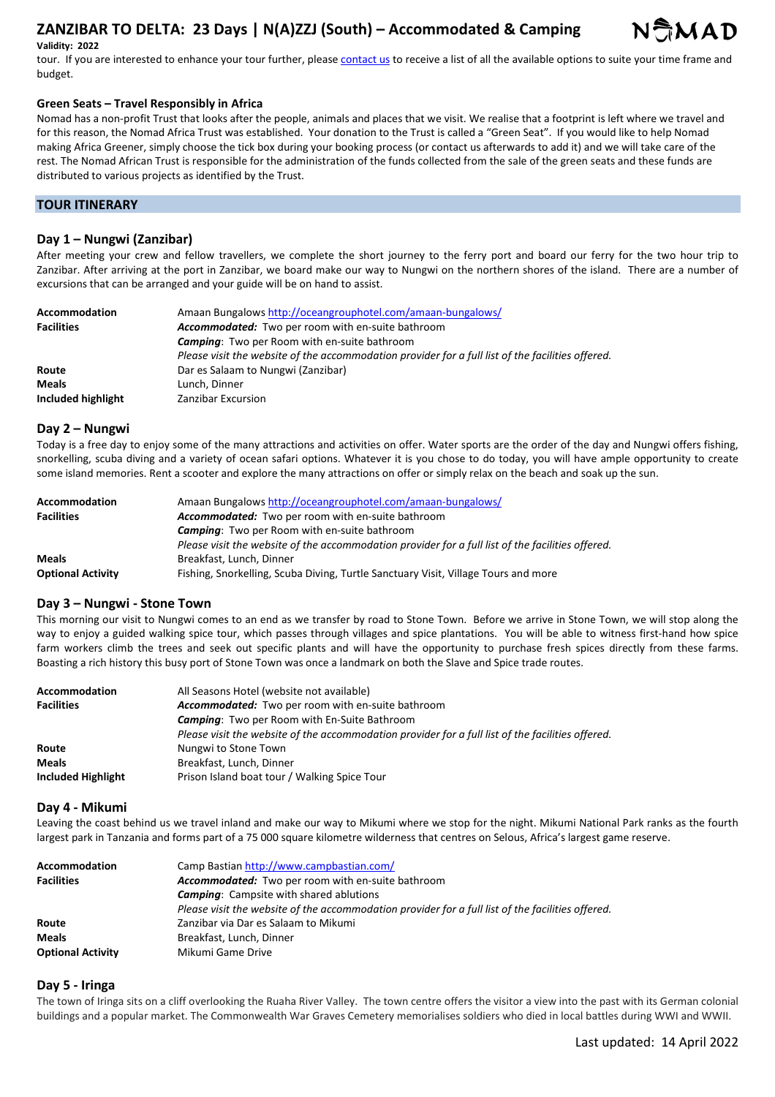# **ZANZIBAR TO DELTA: 23 Days | N(A)ZZJ (South) – Accommodated & Camping**



## **Validity: 2022**

tour. If you are interested to enhance your tour further, please contact us to receive a list of all the available options to suite your time frame and budget.

## **Green Seats – Travel Responsibly in Africa**

Nomad has a non-profit Trust that looks after the people, animals and places that we visit. We realise that a footprint is left where we travel and for this reason, the Nomad Africa Trust was established. Your donation to the Trust is called a "Green Seat". If you would like to help Nomad making Africa Greener, simply choose the tick box during your booking process (or contact us afterwards to add it) and we will take care of the rest. The Nomad African Trust is responsible for the administration of the funds collected from the sale of the green seats and these funds are distributed to various projects as identified by the Trust.

# **TOUR ITINERARY**

## **Day 1 – Nungwi (Zanzibar)**

After meeting your crew and fellow travellers, we complete the short journey to the ferry port and board our ferry for the two hour trip to Zanzibar. After arriving at the port in Zanzibar, we board make our way to Nungwi on the northern shores of the island. There are a number of excursions that can be arranged and your guide will be on hand to assist.

| <b>Accommodation</b> | Amaan Bungalows http://oceangrouphotel.com/amaan-bungalows/                                       |
|----------------------|---------------------------------------------------------------------------------------------------|
| <b>Facilities</b>    | Accommodated: Two per room with en-suite bathroom                                                 |
|                      | <b>Camping:</b> Two per Room with en-suite bathroom                                               |
|                      | Please visit the website of the accommodation provider for a full list of the facilities offered. |
| Route                | Dar es Salaam to Nungwi (Zanzibar)                                                                |
| <b>Meals</b>         | Lunch. Dinner                                                                                     |
| Included highlight   | Zanzibar Excursion                                                                                |

#### **Day 2 – Nungwi**

Today is a free day to enjoy some of the many attractions and activities on offer. Water sports are the order of the day and Nungwi offers fishing, snorkelling, scuba diving and a variety of ocean safari options. Whatever it is you chose to do today, you will have ample opportunity to create some island memories. Rent a scooter and explore the many attractions on offer or simply relax on the beach and soak up the sun.

| <b>Accommodation</b>     | Amaan Bungalows http://oceangrouphotel.com/amaan-bungalows/                                       |
|--------------------------|---------------------------------------------------------------------------------------------------|
| <b>Facilities</b>        | <b>Accommodated:</b> Two per room with en-suite bathroom                                          |
|                          | <b>Camping:</b> Two per Room with en-suite bathroom                                               |
|                          | Please visit the website of the accommodation provider for a full list of the facilities offered. |
| <b>Meals</b>             | Breakfast, Lunch, Dinner                                                                          |
| <b>Optional Activity</b> | Fishing, Snorkelling, Scuba Diving, Turtle Sanctuary Visit, Village Tours and more                |

## **Day 3 – Nungwi - Stone Town**

This morning our visit to Nungwi comes to an end as we transfer by road to Stone Town. Before we arrive in Stone Town, we will stop along the way to enjoy a guided walking spice tour, which passes through villages and spice plantations. You will be able to witness first-hand how spice farm workers climb the trees and seek out specific plants and will have the opportunity to purchase fresh spices directly from these farms. Boasting a rich history this busy port of Stone Town was once a landmark on both the Slave and Spice trade routes.

| <b>Accommodation</b> | All Seasons Hotel (website not available)                                                         |
|----------------------|---------------------------------------------------------------------------------------------------|
| <b>Facilities</b>    | <b>Accommodated:</b> Two per room with en-suite bathroom                                          |
|                      | <b>Camping:</b> Two per Room with En-Suite Bathroom                                               |
|                      | Please visit the website of the accommodation provider for a full list of the facilities offered. |
| Route                | Nungwi to Stone Town                                                                              |
| <b>Meals</b>         | Breakfast, Lunch, Dinner                                                                          |
| Included Highlight   | Prison Island boat tour / Walking Spice Tour                                                      |

#### **Day 4 - Mikumi**

Leaving the coast behind us we travel inland and make our way to Mikumi where we stop for the night. Mikumi National Park ranks as the fourth largest park in Tanzania and forms part of a 75 000 square kilometre wilderness that centres on Selous, Africa's largest game reserve.

| <b>Accommodation</b>     | Camp Bastian http://www.campbastian.com/                                                          |
|--------------------------|---------------------------------------------------------------------------------------------------|
| <b>Facilities</b>        | Accommodated: Two per room with en-suite bathroom                                                 |
|                          | <b>Camping:</b> Campsite with shared ablutions                                                    |
|                          | Please visit the website of the accommodation provider for a full list of the facilities offered. |
| Route                    | Zanzibar via Dar es Salaam to Mikumi                                                              |
| <b>Meals</b>             | Breakfast, Lunch, Dinner                                                                          |
| <b>Optional Activity</b> | Mikumi Game Drive                                                                                 |

## **Day 5 - Iringa**

The town of Iringa sits on a cliff overlooking the Ruaha River Valley. The town centre offers the visitor a view into the past with its German colonial buildings and a popular market. The Commonwealth War Graves Cemetery memorialises soldiers who died in local battles during WWI and WWII.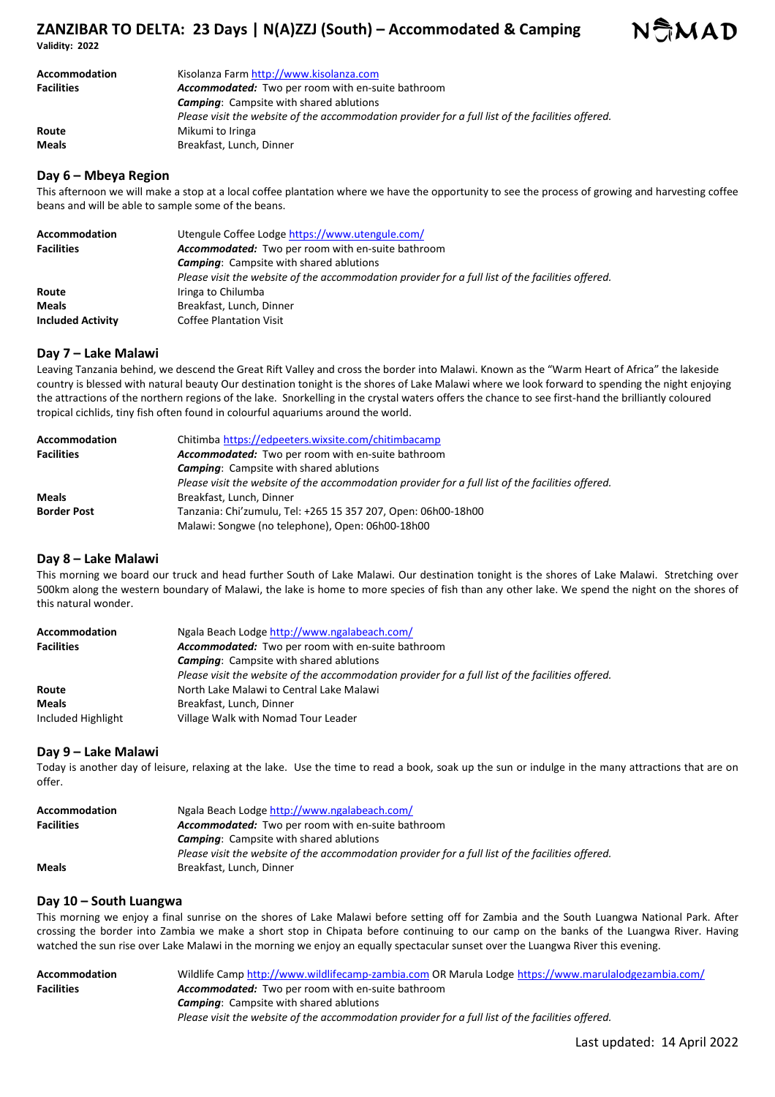# **ZANZIBAR TO DELTA: 23 Days | N(A)ZZJ (South) – Accommodated & Camping**

**Validity: 2022** 

| Accommodation     | Kisolanza Farm http://www.kisolanza.com                                                           |
|-------------------|---------------------------------------------------------------------------------------------------|
| <b>Facilities</b> | <b>Accommodated:</b> Two per room with en-suite bathroom                                          |
|                   | <b>Camping:</b> Campsite with shared ablutions                                                    |
|                   | Please visit the website of the accommodation provider for a full list of the facilities offered. |
| Route             | Mikumi to Iringa                                                                                  |
| <b>Meals</b>      | Breakfast, Lunch, Dinner                                                                          |

## **Day 6 – Mbeya Region**

This afternoon we will make a stop at a local coffee plantation where we have the opportunity to see the process of growing and harvesting coffee beans and will be able to sample some of the beans.

| <b>Accommodation</b><br><b>Facilities</b> | Utengule Coffee Lodge https://www.utengule.com/                                                   |
|-------------------------------------------|---------------------------------------------------------------------------------------------------|
|                                           | Accommodated: Two per room with en-suite bathroom                                                 |
|                                           | <b>Camping:</b> Campsite with shared ablutions                                                    |
|                                           | Please visit the website of the accommodation provider for a full list of the facilities offered. |
| Route                                     | Iringa to Chilumba                                                                                |
| <b>Meals</b>                              | Breakfast, Lunch, Dinner                                                                          |
| <b>Included Activity</b>                  | <b>Coffee Plantation Visit</b>                                                                    |

# **Day 7 – Lake Malawi**

Leaving Tanzania behind, we descend the Great Rift Valley and cross the border into Malawi. Known as the "Warm Heart of Africa" the lakeside country is blessed with natural beauty Our destination tonight is the shores of Lake Malawi where we look forward to spending the night enjoying the attractions of the northern regions of the lake. Snorkelling in the crystal waters offers the chance to see first-hand the brilliantly coloured tropical cichlids, tiny fish often found in colourful aquariums around the world.

| <b>Accommodation</b> | Chitimba https://edpeeters.wixsite.com/chitimbacamp                                               |
|----------------------|---------------------------------------------------------------------------------------------------|
| <b>Facilities</b>    | Accommodated: Two per room with en-suite bathroom                                                 |
|                      | <b>Camping:</b> Campsite with shared ablutions                                                    |
|                      | Please visit the website of the accommodation provider for a full list of the facilities offered. |
| <b>Meals</b>         | Breakfast, Lunch, Dinner                                                                          |
| <b>Border Post</b>   | Tanzania: Chi'zumulu, Tel: +265 15 357 207, Open: 06h00-18h00                                     |
|                      | Malawi: Songwe (no telephone), Open: 06h00-18h00                                                  |

# **Day 8 – Lake Malawi**

This morning we board our truck and head further South of Lake Malawi. Our destination tonight is the shores of Lake Malawi. Stretching over 500km along the western boundary of Malawi, the lake is home to more species of fish than any other lake. We spend the night on the shores of this natural wonder.

| <b>Accommodation</b> | Ngala Beach Lodge http://www.ngalabeach.com/                                                      |
|----------------------|---------------------------------------------------------------------------------------------------|
| <b>Facilities</b>    | <b>Accommodated:</b> Two per room with en-suite bathroom                                          |
|                      | <b>Camping:</b> Campsite with shared ablutions                                                    |
|                      | Please visit the website of the accommodation provider for a full list of the facilities offered. |
| Route                | North Lake Malawi to Central Lake Malawi                                                          |
| <b>Meals</b>         | Breakfast, Lunch, Dinner                                                                          |
| Included Highlight   | Village Walk with Nomad Tour Leader                                                               |

## **Day 9 – Lake Malawi**

Today is another day of leisure, relaxing at the lake. Use the time to read a book, soak up the sun or indulge in the many attractions that are on offer.

| Accommodation     | Ngala Beach Lodge http://www.ngalabeach.com/                                                      |
|-------------------|---------------------------------------------------------------------------------------------------|
| <b>Facilities</b> | Accommodated: Two per room with en-suite bathroom                                                 |
|                   | <b>Camping:</b> Campsite with shared ablutions                                                    |
|                   | Please visit the website of the accommodation provider for a full list of the facilities offered. |
| <b>Meals</b>      | Breakfast, Lunch, Dinner                                                                          |

# **Day 10 – South Luangwa**

This morning we enjoy a final sunrise on the shores of Lake Malawi before setting off for Zambia and the South Luangwa National Park. After crossing the border into Zambia we make a short stop in Chipata before continuing to our camp on the banks of the Luangwa River. Having watched the sun rise over Lake Malawi in the morning we enjoy an equally spectacular sunset over the Luangwa River this evening.

| Accommodation     | Wildlife Camp http://www.wildlifecamp-zambia.com OR Marula Lodge https://www.marulalodgezambia.com/ |
|-------------------|-----------------------------------------------------------------------------------------------------|
| <b>Facilities</b> | <b>Accommodated:</b> Two per room with en-suite bathroom                                            |
|                   | <b>Camping:</b> Campsite with shared ablutions                                                      |
|                   | Please visit the website of the accommodation provider for a full list of the facilities offered.   |

NSMAD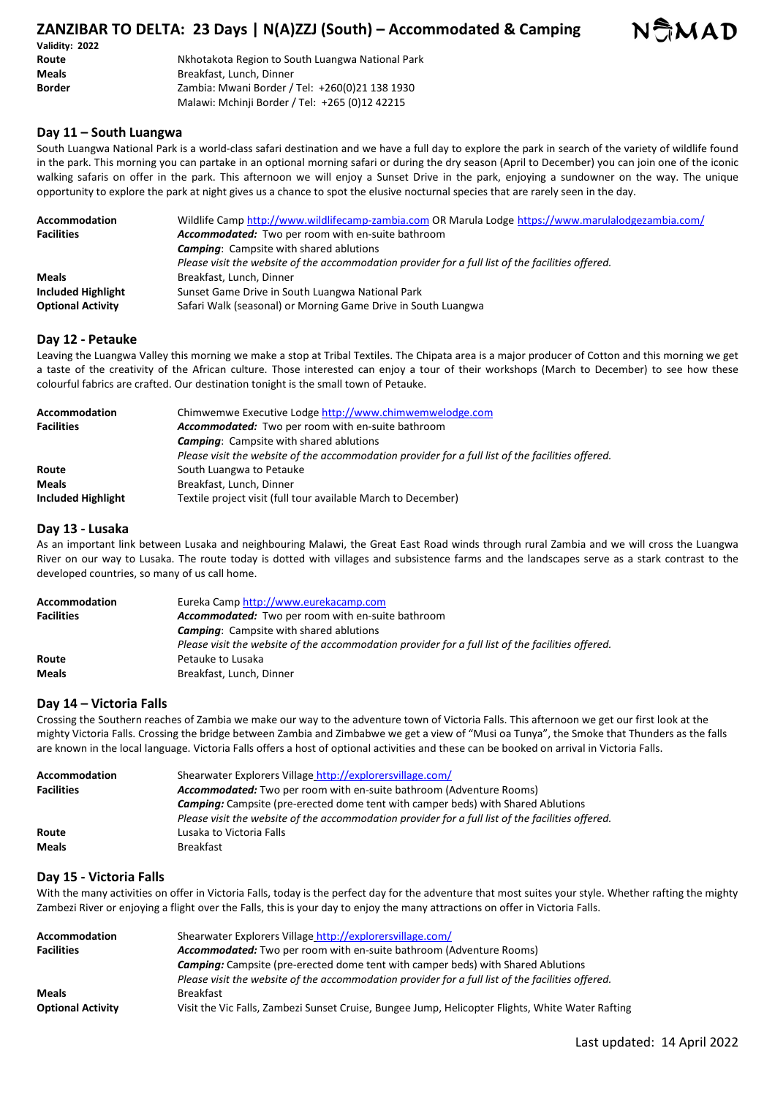# **ZANZIBAR TO DELTA: 23 Days | N(A)ZZJ (South) – Accommodated & Camping**

| Validity: 2022 |                                                  |
|----------------|--------------------------------------------------|
| Route          | Nkhotakota Region to South Luangwa National Park |
| Meals          | Breakfast, Lunch, Dinner                         |
| <b>Border</b>  | Zambia: Mwani Border / Tel: +260(0)21 138 1930   |
|                | Malawi: Mchinji Border / Tel: +265 (0)12 42215   |

# **Day 11 – South Luangwa**

South Luangwa National Park is a world-class safari destination and we have a full day to explore the park in search of the variety of wildlife found in the park. This morning you can partake in an optional morning safari or during the dry season (April to December) you can join one of the iconic walking safaris on offer in the park. This afternoon we will enjoy a Sunset Drive in the park, enjoying a sundowner on the way. The unique opportunity to explore the park at night gives us a chance to spot the elusive nocturnal species that are rarely seen in the day.

| <b>Accommodation</b>      | Wildlife Camp http://www.wildlifecamp-zambia.com OR Marula Lodge https://www.marulalodgezambia.com/ |
|---------------------------|-----------------------------------------------------------------------------------------------------|
| <b>Facilities</b>         | Accommodated: Two per room with en-suite bathroom                                                   |
|                           | <b>Camping:</b> Campsite with shared ablutions                                                      |
|                           | Please visit the website of the accommodation provider for a full list of the facilities offered.   |
| <b>Meals</b>              | Breakfast, Lunch, Dinner                                                                            |
| <b>Included Highlight</b> | Sunset Game Drive in South Luangwa National Park                                                    |
| <b>Optional Activity</b>  | Safari Walk (seasonal) or Morning Game Drive in South Luangwa                                       |

## **Day 12 - Petauke**

Leaving the Luangwa Valley this morning we make a stop at Tribal Textiles. The Chipata area is a major producer of Cotton and this morning we get a taste of the creativity of the African culture. Those interested can enjoy a tour of their workshops (March to December) to see how these colourful fabrics are crafted. Our destination tonight is the small town of Petauke.

| <b>Accommodation</b>      | Chimwemwe Executive Lodge http://www.chimwemwelodge.com                                           |
|---------------------------|---------------------------------------------------------------------------------------------------|
| <b>Facilities</b>         | <b>Accommodated:</b> Two per room with en-suite bathroom                                          |
|                           | <b>Camping:</b> Campsite with shared ablutions                                                    |
|                           | Please visit the website of the accommodation provider for a full list of the facilities offered. |
| Route                     | South Luangwa to Petauke                                                                          |
| <b>Meals</b>              | Breakfast, Lunch, Dinner                                                                          |
| <b>Included Highlight</b> | Textile project visit (full tour available March to December)                                     |

## **Day 13 - Lusaka**

As an important link between Lusaka and neighbouring Malawi, the Great East Road winds through rural Zambia and we will cross the Luangwa River on our way to Lusaka. The route today is dotted with villages and subsistence farms and the landscapes serve as a stark contrast to the developed countries, so many of us call home.

| Accommodation     | Eureka Camp http://www.eurekacamp.com                                                             |
|-------------------|---------------------------------------------------------------------------------------------------|
| <b>Facilities</b> | Accommodated: Two per room with en-suite bathroom                                                 |
|                   | <b>Camping:</b> Campsite with shared ablutions                                                    |
|                   | Please visit the website of the accommodation provider for a full list of the facilities offered. |
| Route             | Petauke to Lusaka                                                                                 |
| <b>Meals</b>      | Breakfast, Lunch, Dinner                                                                          |

# **Day 14 – Victoria Falls**

Crossing the Southern reaches of Zambia we make our way to the adventure town of Victoria Falls. This afternoon we get our first look at the mighty Victoria Falls. Crossing the bridge between Zambia and Zimbabwe we get a view of "Musi oa Tunya", the Smoke that Thunders as the falls are known in the local language. Victoria Falls offers a host of optional activities and these can be booked on arrival in Victoria Falls.

| <b>Accommodation</b> | Shearwater Explorers Village http://explorersvillage.com/                                         |
|----------------------|---------------------------------------------------------------------------------------------------|
| <b>Facilities</b>    | <b>Accommodated:</b> Two per room with en-suite bathroom (Adventure Rooms)                        |
|                      | <b>Camping:</b> Campsite (pre-erected dome tent with camper beds) with Shared Ablutions           |
|                      | Please visit the website of the accommodation provider for a full list of the facilities offered. |
| Route                | Lusaka to Victoria Falls                                                                          |
| <b>Meals</b>         | Breakfast                                                                                         |

# **Day 15 - Victoria Falls**

With the many activities on offer in Victoria Falls, today is the perfect day for the adventure that most suites your style. Whether rafting the mighty Zambezi River or enjoying a flight over the Falls, this is your day to enjoy the many attractions on offer in Victoria Falls.

| <b>Accommodation</b>     | Shearwater Explorers Village http://explorersvillage.com/                                         |
|--------------------------|---------------------------------------------------------------------------------------------------|
| <b>Facilities</b>        | <b>Accommodated:</b> Two per room with en-suite bathroom (Adventure Rooms)                        |
|                          | <b>Camping:</b> Campsite (pre-erected dome tent with camper beds) with Shared Ablutions           |
|                          | Please visit the website of the accommodation provider for a full list of the facilities offered. |
| <b>Meals</b>             | <b>Breakfast</b>                                                                                  |
| <b>Optional Activity</b> | Visit the Vic Falls, Zambezi Sunset Cruise, Bungee Jump, Helicopter Flights, White Water Rafting  |

NAMAD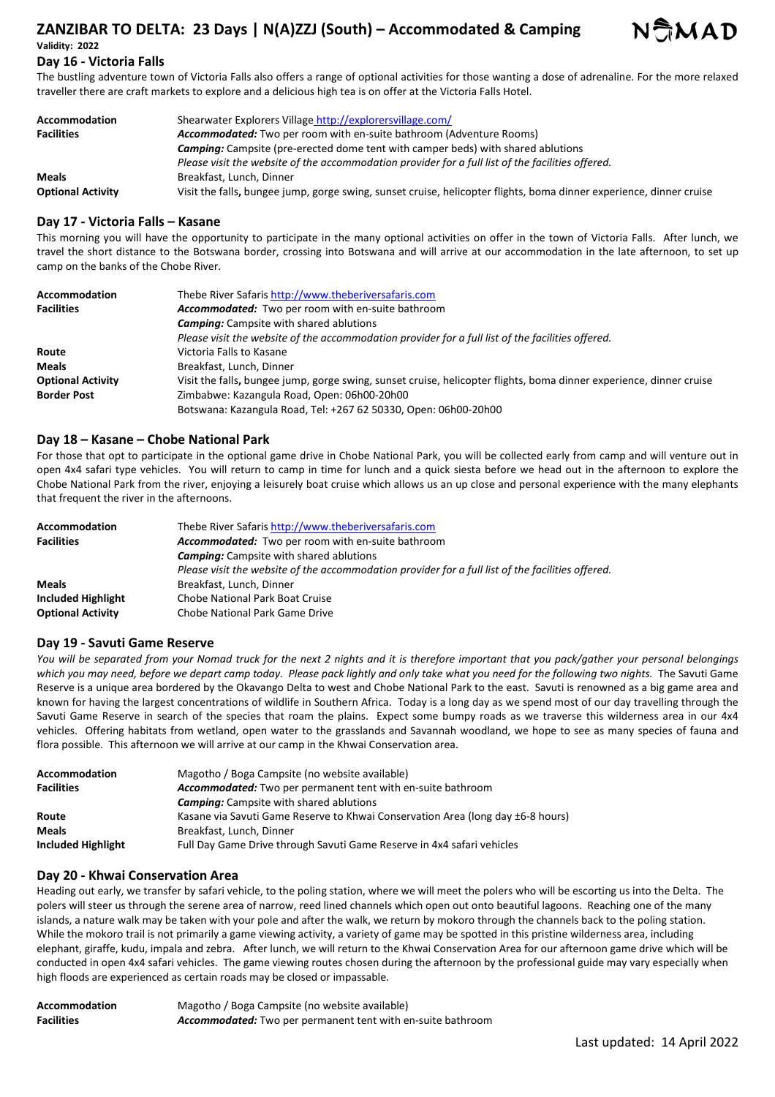# **ZANZIBAR TO DELTA: 23 Days | N(A)ZZJ (South) – Accommodated & Camping Validity: 2022**



# **Day 16 - Victoria Falls**

The bustling adventure town of Victoria Falls also offers a range of optional activities for those wanting a dose of adrenaline. For the more relaxed traveller there are craft markets to explore and a delicious high tea is on offer at the Victoria Falls Hotel.

| <b>Accommodation</b>     | Shearwater Explorers Village http://explorersvillage.com/                                                           |
|--------------------------|---------------------------------------------------------------------------------------------------------------------|
| <b>Facilities</b>        | <b>Accommodated:</b> Two per room with en-suite bathroom (Adventure Rooms)                                          |
|                          | <b>Camping:</b> Campsite (pre-erected dome tent with camper beds) with shared ablutions                             |
|                          | Please visit the website of the accommodation provider for a full list of the facilities offered.                   |
| <b>Meals</b>             | Breakfast, Lunch, Dinner                                                                                            |
| <b>Optional Activity</b> | Visit the falls, bungee jump, gorge swing, sunset cruise, helicopter flights, boma dinner experience, dinner cruise |

## **Day 17 - Victoria Falls – Kasane**

This morning you will have the opportunity to participate in the many optional activities on offer in the town of Victoria Falls. After lunch, we travel the short distance to the Botswana border, crossing into Botswana and will arrive at our accommodation in the late afternoon, to set up camp on the banks of the Chobe River.

| Accommodation            | Thebe River Safaris http://www.theberiversafaris.com                                                                |
|--------------------------|---------------------------------------------------------------------------------------------------------------------|
| <b>Facilities</b>        | Accommodated: Two per room with en-suite bathroom                                                                   |
|                          | <b>Camping:</b> Campsite with shared ablutions                                                                      |
|                          | Please visit the website of the accommodation provider for a full list of the facilities offered.                   |
| Route                    | Victoria Falls to Kasane                                                                                            |
| <b>Meals</b>             | Breakfast, Lunch, Dinner                                                                                            |
| <b>Optional Activity</b> | Visit the falls, bungee jump, gorge swing, sunset cruise, helicopter flights, boma dinner experience, dinner cruise |
| <b>Border Post</b>       | Zimbabwe: Kazangula Road, Open: 06h00-20h00                                                                         |
|                          | Botswana: Kazangula Road, Tel: +267 62 50330, Open: 06h00-20h00                                                     |

## **Day 18 – Kasane – Chobe National Park**

For those that opt to participate in the optional game drive in Chobe National Park, you will be collected early from camp and will venture out in open 4x4 safari type vehicles. You will return to camp in time for lunch and a quick siesta before we head out in the afternoon to explore the Chobe National Park from the river, enjoying a leisurely boat cruise which allows us an up close and personal experience with the many elephants that frequent the river in the afternoons.

| Accommodation            | Thebe River Safaris http://www.theberiversafaris.com                                              |
|--------------------------|---------------------------------------------------------------------------------------------------|
| <b>Facilities</b>        | Accommodated: Two per room with en-suite bathroom                                                 |
|                          | <b>Camping:</b> Campsite with shared ablutions                                                    |
|                          | Please visit the website of the accommodation provider for a full list of the facilities offered. |
| <b>Meals</b>             | Breakfast, Lunch, Dinner                                                                          |
| Included Highlight       | Chobe National Park Boat Cruise                                                                   |
| <b>Optional Activity</b> | Chobe National Park Game Drive                                                                    |

## **Day 19 - Savuti Game Reserve**

*You will be separated from your Nomad truck for the next 2 nights and it is therefore important that you pack/gather your personal belongings which you may need, before we depart camp today. Please pack lightly and only take what you need for the following two nights.* The Savuti Game Reserve is a unique area bordered by the Okavango Delta to west and Chobe National Park to the east. Savuti is renowned as a big game area and known for having the largest concentrations of wildlife in Southern Africa. Today is a long day as we spend most of our day travelling through the Savuti Game Reserve in search of the species that roam the plains. Expect some bumpy roads as we traverse this wilderness area in our 4x4 vehicles. Offering habitats from wetland, open water to the grasslands and Savannah woodland, we hope to see as many species of fauna and flora possible. This afternoon we will arrive at our camp in the Khwai Conservation area.

| Accommodation      | Magotho / Boga Campsite (no website available)                                  |
|--------------------|---------------------------------------------------------------------------------|
| <b>Facilities</b>  | Accommodated: Two per permanent tent with en-suite bathroom                     |
|                    | <b>Camping:</b> Campsite with shared ablutions                                  |
| Route              | Kasane via Savuti Game Reserve to Khwai Conservation Area (long day ±6-8 hours) |
| <b>Meals</b>       | Breakfast, Lunch, Dinner                                                        |
| Included Highlight | Full Day Game Drive through Savuti Game Reserve in 4x4 safari vehicles          |

## **Day 20 - Khwai Conservation Area**

Heading out early, we transfer by safari vehicle, to the poling station, where we will meet the polers who will be escorting us into the Delta. The polers will steer us through the serene area of narrow, reed lined channels which open out onto beautiful lagoons. Reaching one of the many islands, a nature walk may be taken with your pole and after the walk, we return by mokoro through the channels back to the poling station. While the mokoro trail is not primarily a game viewing activity, a variety of game may be spotted in this pristine wilderness area, including elephant, giraffe, kudu, impala and zebra. After lunch, we will return to the Khwai Conservation Area for our afternoon game drive which will be conducted in open 4x4 safari vehicles. The game viewing routes chosen during the afternoon by the professional guide may vary especially when high floods are experienced as certain roads may be closed or impassable.

| <b>Accommodation</b> | Magotho / Boga Campsite (no website available)                     |
|----------------------|--------------------------------------------------------------------|
| <b>Facilities</b>    | <b>Accommodated:</b> Two per permanent tent with en-suite bathroom |